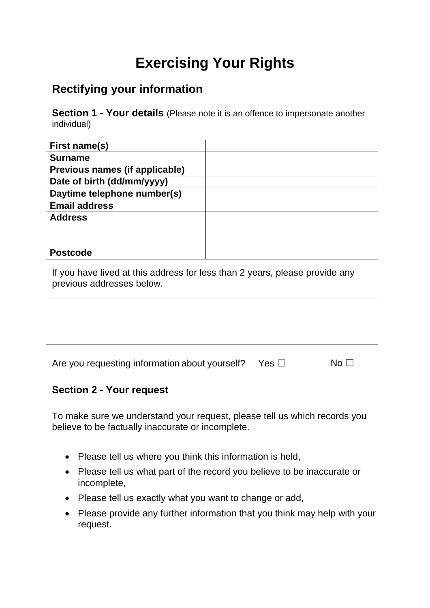# **Exercising Your Rights**

## **Rectifying your information**

**Section 1 - Your details** (Please note it is an offence to impersonate another individual)

| First name(s)                  |  |
|--------------------------------|--|
| <b>Surname</b>                 |  |
| Previous names (if applicable) |  |
| Date of birth (dd/mm/yyyy)     |  |
| Daytime telephone number(s)    |  |
| <b>Email address</b>           |  |
| <b>Address</b>                 |  |
|                                |  |
|                                |  |
| <b>Postcode</b>                |  |

If you have lived at this address for less than 2 years, please provide any previous addresses below.

| Are you requesting information about yourself? Yes $\Box$ | No $\Box$ |
|-----------------------------------------------------------|-----------|
|                                                           |           |

#### **Section 2 - Your request**

To make sure we understand your request, please tell us which records you believe to be factually inaccurate or incomplete.

- Please tell us where you think this information is held,
- Please tell us what part of the record you believe to be inaccurate or incomplete,
- Please tell us exactly what you want to change or add,
- Please provide any further information that you think may help with your request.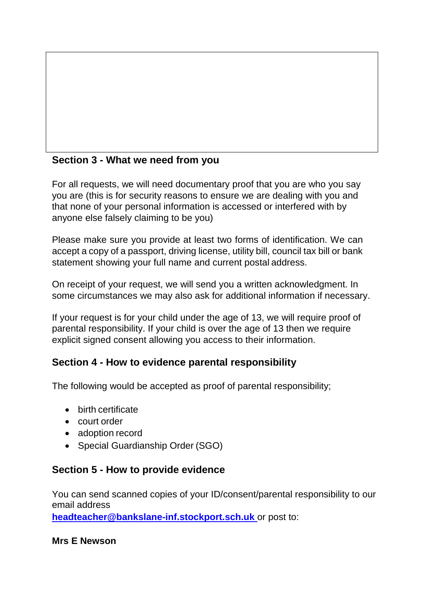### **Section 3 - What we need from you**

For all requests, we will need documentary proof that you are who you say you are (this is for security reasons to ensure we are dealing with you and that none of your personal information is accessed or interfered with by anyone else falsely claiming to be you)

Please make sure you provide at least two forms of identification. We can accept a copy of a passport, driving license, utility bill, council tax bill or bank statement showing your full name and current postal address.

On receipt of your request, we will send you a written acknowledgment. In some circumstances we may also ask for additional information if necessary.

If your request is for your child under the age of 13, we will require proof of parental responsibility. If your child is over the age of 13 then we require explicit signed consent allowing you access to their information.

#### **Section 4 - How to evidence parental responsibility**

The following would be accepted as proof of parental responsibility;

- birth certificate
- court order
- adoption record
- Special Guardianship Order (SGO)

#### **Section 5 - How to provide evidence**

You can send scanned copies of your ID/consent/parental responsibility to our email address

**[headteacher@bankslane-inf.stockport.sch.uk](mailto:headteacher@bankslane-inf.stockport.sch.uk)** or post to:

**Mrs E Newson**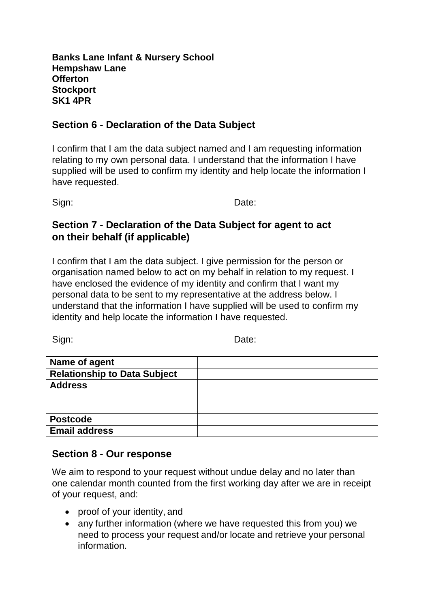**Banks Lane Infant & Nursery School Hempshaw Lane Offerton Stockport SK1 4PR**

#### **Section 6 - Declaration of the Data Subject**

I confirm that I am the data subject named and I am requesting information relating to my own personal data. I understand that the information I have supplied will be used to confirm my identity and help locate the information I have requested.

Sign: **Date:** Date:

#### **Section 7 - Declaration of the Data Subject for agent to act on their behalf (if applicable)**

I confirm that I am the data subject. I give permission for the person or organisation named below to act on my behalf in relation to my request. I have enclosed the evidence of my identity and confirm that I want my personal data to be sent to my representative at the address below. I understand that the information I have supplied will be used to confirm my identity and help locate the information I have requested.

Sign: **Date:** Date:

| Name of agent                       |  |
|-------------------------------------|--|
| <b>Relationship to Data Subject</b> |  |
| <b>Address</b>                      |  |
|                                     |  |
|                                     |  |
| <b>Postcode</b>                     |  |
| <b>Email address</b>                |  |

#### **Section 8 - Our response**

We aim to respond to your request without undue delay and no later than one calendar month counted from the first working day after we are in receipt of your request, and:

- proof of your identity, and
- any further information (where we have requested this from you) we need to process your request and/or locate and retrieve your personal information.